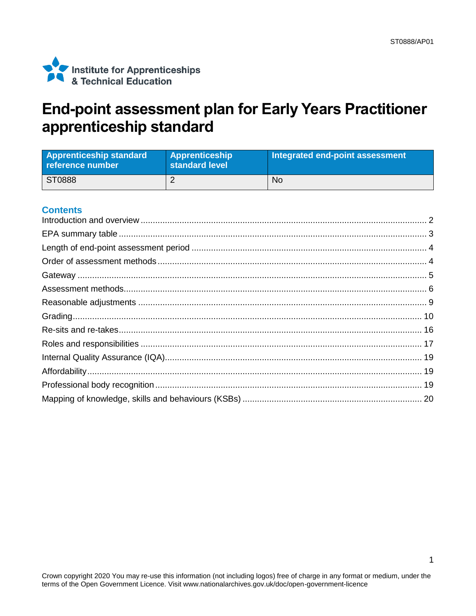

## End-point assessment plan for Early Years Practitioner apprenticeship standard

| <b>Apprenticeship standard</b><br>reference number | <b>Apprenticeship</b><br>standard level | Integrated end-point assessment |
|----------------------------------------------------|-----------------------------------------|---------------------------------|
| ST0888                                             |                                         | No                              |

#### **Contents**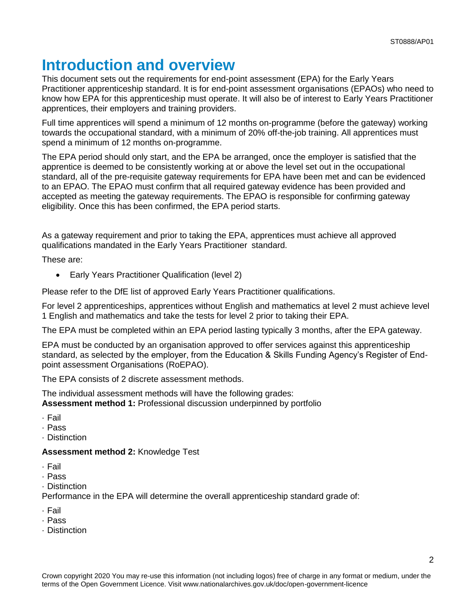## <span id="page-1-0"></span>**Introduction and overview**

This document sets out the requirements for end-point assessment (EPA) for the Early Years Practitioner apprenticeship standard. It is for end-point assessment organisations (EPAOs) who need to know how EPA for this apprenticeship must operate. It will also be of interest to Early Years Practitioner apprentices, their employers and training providers.

Full time apprentices will spend a minimum of 12 months on-programme (before the gateway) working towards the occupational standard, with a minimum of 20% off-the-job training. All apprentices must spend a minimum of 12 months on-programme.

The EPA period should only start, and the EPA be arranged, once the employer is satisfied that the apprentice is deemed to be consistently working at or above the level set out in the occupational standard, all of the pre-requisite gateway requirements for EPA have been met and can be evidenced to an EPAO. The EPAO must confirm that all required gateway evidence has been provided and accepted as meeting the gateway requirements. The EPAO is responsible for confirming gateway eligibility. Once this has been confirmed, the EPA period starts.

As a gateway requirement and prior to taking the EPA, apprentices must achieve all approved qualifications mandated in the Early Years Practitioner standard.

These are:

Early Years Practitioner Qualification (level 2)

Please refer to the DfE list of approved Early Years Practitioner qualifications.

For level 2 apprenticeships, apprentices without English and mathematics at level 2 must achieve level 1 English and mathematics and take the tests for level 2 prior to taking their EPA.

The EPA must be completed within an EPA period lasting typically 3 months, after the EPA gateway.

EPA must be conducted by an organisation approved to offer services against this apprenticeship standard, as selected by the employer, from the Education & Skills Funding Agency's Register of Endpoint assessment Organisations (RoEPAO).

The EPA consists of 2 discrete assessment methods.

The individual assessment methods will have the following grades: **Assessment method 1:** Professional discussion underpinned by portfolio

- · Fail
- · Pass
- · Distinction

#### **Assessment method 2:** Knowledge Test

- · Fail
- · Pass
- · Distinction

Performance in the EPA will determine the overall apprenticeship standard grade of:

- · Fail
- · Pass
- · Distinction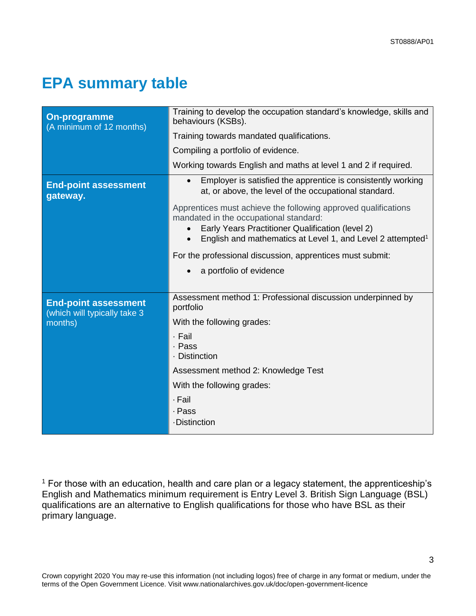3

# <span id="page-2-0"></span>**EPA summary table**

| <b>On-programme</b><br>(A minimum of 12 months)             | Training to develop the occupation standard's knowledge, skills and<br>behaviours (KSBs).                                                                                                                                                           |  |  |
|-------------------------------------------------------------|-----------------------------------------------------------------------------------------------------------------------------------------------------------------------------------------------------------------------------------------------------|--|--|
|                                                             | Training towards mandated qualifications.                                                                                                                                                                                                           |  |  |
|                                                             | Compiling a portfolio of evidence.                                                                                                                                                                                                                  |  |  |
|                                                             | Working towards English and maths at level 1 and 2 if required.                                                                                                                                                                                     |  |  |
| <b>End-point assessment</b><br>gateway.                     | Employer is satisfied the apprentice is consistently working<br>at, or above, the level of the occupational standard.                                                                                                                               |  |  |
|                                                             | Apprentices must achieve the following approved qualifications<br>mandated in the occupational standard:<br>Early Years Practitioner Qualification (level 2)<br>English and mathematics at Level 1, and Level 2 attempted <sup>1</sup><br>$\bullet$ |  |  |
|                                                             | For the professional discussion, apprentices must submit:                                                                                                                                                                                           |  |  |
|                                                             | a portfolio of evidence                                                                                                                                                                                                                             |  |  |
|                                                             |                                                                                                                                                                                                                                                     |  |  |
| <b>End-point assessment</b><br>(which will typically take 3 | Assessment method 1: Professional discussion underpinned by<br>portfolio                                                                                                                                                                            |  |  |
| months)                                                     | With the following grades:                                                                                                                                                                                                                          |  |  |
|                                                             | · Fail<br>· Pass<br>· Distinction                                                                                                                                                                                                                   |  |  |
|                                                             | Assessment method 2: Knowledge Test                                                                                                                                                                                                                 |  |  |
|                                                             | With the following grades:                                                                                                                                                                                                                          |  |  |
|                                                             | · Fail                                                                                                                                                                                                                                              |  |  |
|                                                             | · Pass<br><b>-Distinction</b>                                                                                                                                                                                                                       |  |  |
|                                                             |                                                                                                                                                                                                                                                     |  |  |

 $<sup>1</sup>$  For those with an education, health and care plan or a legacy statement, the apprenticeship's</sup> English and Mathematics minimum requirement is Entry Level 3. British Sign Language (BSL) qualifications are an alternative to English qualifications for those who have BSL as their primary language.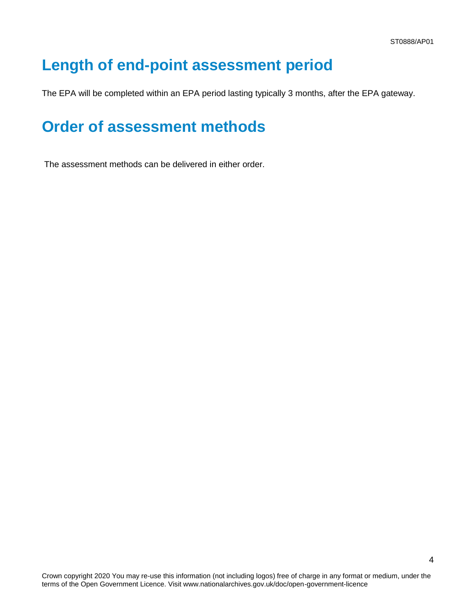## <span id="page-3-0"></span>**Length of end-point assessment period**

The EPA will be completed within an EPA period lasting typically 3 months, after the EPA gateway.

## <span id="page-3-1"></span>**Order of assessment methods**

The assessment methods can be delivered in either order.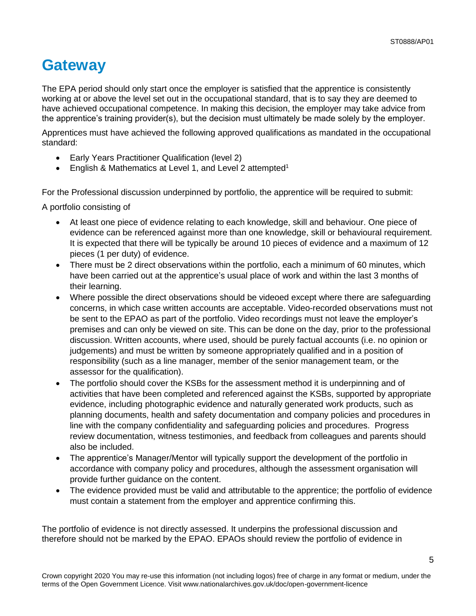## <span id="page-4-0"></span>**Gateway**

The EPA period should only start once the employer is satisfied that the apprentice is consistently working at or above the level set out in the occupational standard, that is to say they are deemed to have achieved occupational competence. In making this decision, the employer may take advice from the apprentice's training provider(s), but the decision must ultimately be made solely by the employer.

Apprentices must have achieved the following approved qualifications as mandated in the occupational standard:

- Early Years Practitioner Qualification (level 2)
- English & Mathematics at Level 1, and Level 2 attempted<sup>1</sup>

For the Professional discussion underpinned by portfolio, the apprentice will be required to submit:

A portfolio consisting of

- At least one piece of evidence relating to each knowledge, skill and behaviour. One piece of evidence can be referenced against more than one knowledge, skill or behavioural requirement. It is expected that there will be typically be around 10 pieces of evidence and a maximum of 12 pieces (1 per duty) of evidence.
- There must be 2 direct observations within the portfolio, each a minimum of 60 minutes, which have been carried out at the apprentice's usual place of work and within the last 3 months of their learning.
- Where possible the direct observations should be videoed except where there are safeguarding concerns, in which case written accounts are acceptable. Video-recorded observations must not be sent to the EPAO as part of the portfolio. Video recordings must not leave the employer's premises and can only be viewed on site. This can be done on the day, prior to the professional discussion. Written accounts, where used, should be purely factual accounts (i.e. no opinion or judgements) and must be written by someone appropriately qualified and in a position of responsibility (such as a line manager, member of the senior management team, or the assessor for the qualification).
- The portfolio should cover the KSBs for the assessment method it is underpinning and of activities that have been completed and referenced against the KSBs, supported by appropriate evidence, including photographic evidence and naturally generated work products, such as planning documents, health and safety documentation and company policies and procedures in line with the company confidentiality and safeguarding policies and procedures. Progress review documentation, witness testimonies, and feedback from colleagues and parents should also be included.
- The apprentice's Manager/Mentor will typically support the development of the portfolio in accordance with company policy and procedures, although the assessment organisation will provide further guidance on the content.
- The evidence provided must be valid and attributable to the apprentice; the portfolio of evidence must contain a statement from the employer and apprentice confirming this.

The portfolio of evidence is not directly assessed. It underpins the professional discussion and therefore should not be marked by the EPAO. EPAOs should review the portfolio of evidence in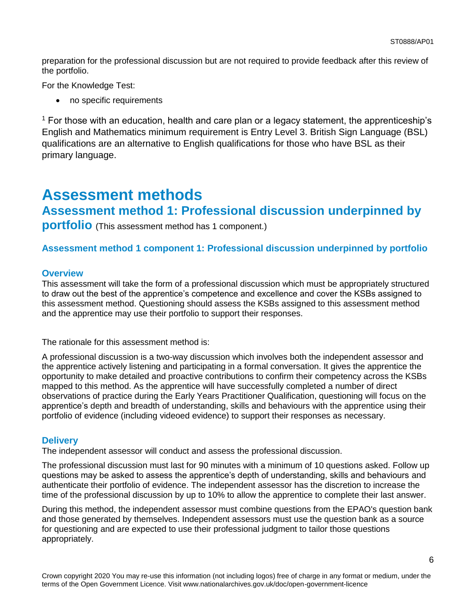preparation for the professional discussion but are not required to provide feedback after this review of the portfolio.

For the Knowledge Test:

• no specific requirements

 $1$  For those with an education, health and care plan or a legacy statement, the apprenticeship's English and Mathematics minimum requirement is Entry Level 3. British Sign Language (BSL) qualifications are an alternative to English qualifications for those who have BSL as their primary language.

### <span id="page-5-0"></span>**Assessment methods**

### **Assessment method 1: Professional discussion underpinned by**

**portfolio** (This assessment method has 1 component.)

#### **Assessment method 1 component 1: Professional discussion underpinned by portfolio**

#### **Overview**

This assessment will take the form of a professional discussion which must be appropriately structured to draw out the best of the apprentice's competence and excellence and cover the KSBs assigned to this assessment method. Questioning should assess the KSBs assigned to this assessment method and the apprentice may use their portfolio to support their responses.

The rationale for this assessment method is:

A professional discussion is a two-way discussion which involves both the independent assessor and the apprentice actively listening and participating in a formal conversation. It gives the apprentice the opportunity to make detailed and proactive contributions to confirm their competency across the KSBs mapped to this method. As the apprentice will have successfully completed a number of direct observations of practice during the Early Years Practitioner Qualification, questioning will focus on the apprentice's depth and breadth of understanding, skills and behaviours with the apprentice using their portfolio of evidence (including videoed evidence) to support their responses as necessary.

#### **Delivery**

The independent assessor will conduct and assess the professional discussion.

The professional discussion must last for 90 minutes with a minimum of 10 questions asked. Follow up questions may be asked to assess the apprentice's depth of understanding, skills and behaviours and authenticate their portfolio of evidence. The independent assessor has the discretion to increase the time of the professional discussion by up to 10% to allow the apprentice to complete their last answer.

During this method, the independent assessor must combine questions from the EPAO's question bank and those generated by themselves. Independent assessors must use the question bank as a source for questioning and are expected to use their professional judgment to tailor those questions appropriately.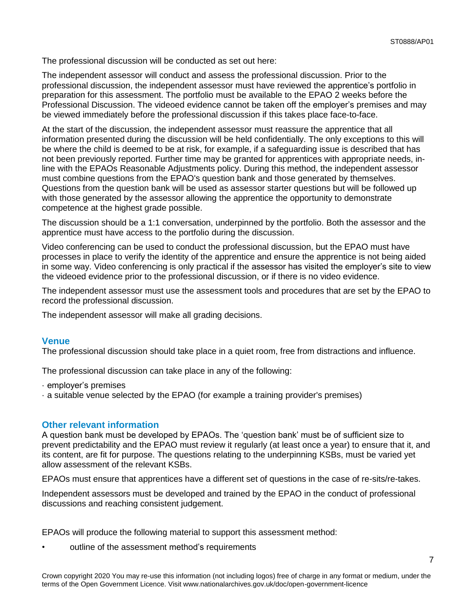The professional discussion will be conducted as set out here:

The independent assessor will conduct and assess the professional discussion. Prior to the professional discussion, the independent assessor must have reviewed the apprentice's portfolio in preparation for this assessment. The portfolio must be available to the EPAO 2 weeks before the Professional Discussion. The videoed evidence cannot be taken off the employer's premises and may be viewed immediately before the professional discussion if this takes place face-to-face.

At the start of the discussion, the independent assessor must reassure the apprentice that all information presented during the discussion will be held confidentially. The only exceptions to this will be where the child is deemed to be at risk, for example, if a safeguarding issue is described that has not been previously reported. Further time may be granted for apprentices with appropriate needs, inline with the EPAOs Reasonable Adjustments policy. During this method, the independent assessor must combine questions from the EPAO's question bank and those generated by themselves. Questions from the question bank will be used as assessor starter questions but will be followed up with those generated by the assessor allowing the apprentice the opportunity to demonstrate competence at the highest grade possible.

The discussion should be a 1:1 conversation, underpinned by the portfolio. Both the assessor and the apprentice must have access to the portfolio during the discussion.

Video conferencing can be used to conduct the professional discussion, but the EPAO must have processes in place to verify the identity of the apprentice and ensure the apprentice is not being aided in some way. Video conferencing is only practical if the assessor has visited the employer's site to view the videoed evidence prior to the professional discussion, or if there is no video evidence.

The independent assessor must use the assessment tools and procedures that are set by the EPAO to record the professional discussion.

The independent assessor will make all grading decisions.

#### **Venue**

The professional discussion should take place in a quiet room, free from distractions and influence.

The professional discussion can take place in any of the following:

- · employer's premises
- · a suitable venue selected by the EPAO (for example a training provider's premises)

#### **Other relevant information**

A question bank must be developed by EPAOs. The 'question bank' must be of sufficient size to prevent predictability and the EPAO must review it regularly (at least once a year) to ensure that it, and its content, are fit for purpose. The questions relating to the underpinning KSBs, must be varied yet allow assessment of the relevant KSBs.

EPAOs must ensure that apprentices have a different set of questions in the case of re-sits/re-takes.

Independent assessors must be developed and trained by the EPAO in the conduct of professional discussions and reaching consistent judgement.

EPAOs will produce the following material to support this assessment method:

outline of the assessment method's requirements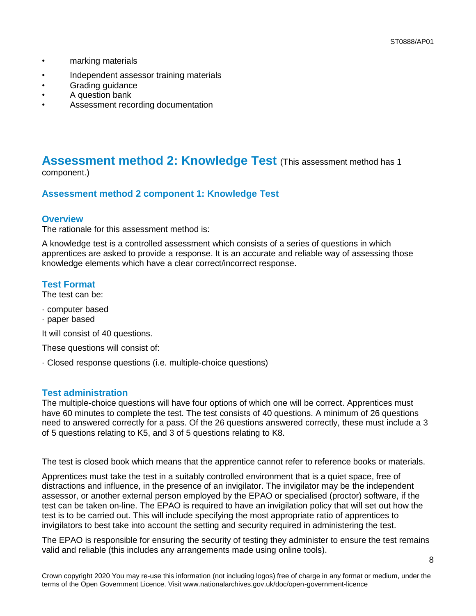- marking materials
- Independent assessor training materials
- Grading guidance
- A question bank
- Assessment recording documentation

#### **Assessment method 2: Knowledge Test** (This assessment method has 1 component.)

#### **Assessment method 2 component 1: Knowledge Test**

#### **Overview**

The rationale for this assessment method is:

A knowledge test is a controlled assessment which consists of a series of questions in which apprentices are asked to provide a response. It is an accurate and reliable way of assessing those knowledge elements which have a clear correct/incorrect response.

#### **Test Format**

The test can be:

- · computer based
- · paper based

It will consist of 40 questions.

These questions will consist of:

· Closed response questions (i.e. multiple-choice questions)

#### **Test administration**

The multiple-choice questions will have four options of which one will be correct. Apprentices must have 60 minutes to complete the test. The test consists of 40 questions. A minimum of 26 questions need to answered correctly for a pass. Of the 26 questions answered correctly, these must include a 3 of 5 questions relating to K5, and 3 of 5 questions relating to K8.

The test is closed book which means that the apprentice cannot refer to reference books or materials.

Apprentices must take the test in a suitably controlled environment that is a quiet space, free of distractions and influence, in the presence of an invigilator. The invigilator may be the independent assessor, or another external person employed by the EPAO or specialised (proctor) software, if the test can be taken on-line. The EPAO is required to have an invigilation policy that will set out how the test is to be carried out. This will include specifying the most appropriate ratio of apprentices to invigilators to best take into account the setting and security required in administering the test.

The EPAO is responsible for ensuring the security of testing they administer to ensure the test remains valid and reliable (this includes any arrangements made using online tools).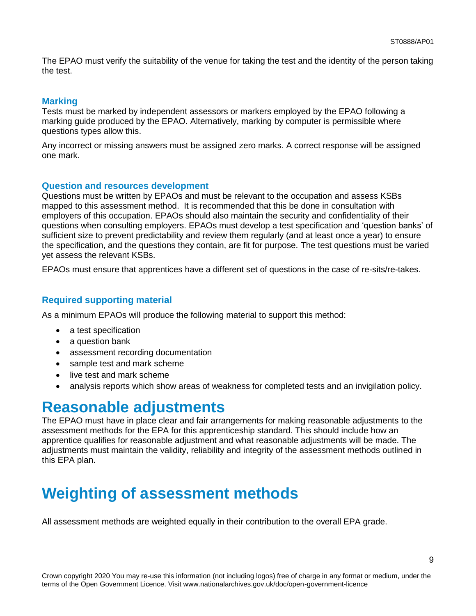The EPAO must verify the suitability of the venue for taking the test and the identity of the person taking the test.

#### **Marking**

Tests must be marked by independent assessors or markers employed by the EPAO following a marking guide produced by the EPAO. Alternatively, marking by computer is permissible where questions types allow this.

Any incorrect or missing answers must be assigned zero marks. A correct response will be assigned one mark.

#### **Question and resources development**

Questions must be written by EPAOs and must be relevant to the occupation and assess KSBs mapped to this assessment method. It is recommended that this be done in consultation with employers of this occupation. EPAOs should also maintain the security and confidentiality of their questions when consulting employers. EPAOs must develop a test specification and 'question banks' of sufficient size to prevent predictability and review them regularly (and at least once a year) to ensure the specification, and the questions they contain, are fit for purpose. The test questions must be varied yet assess the relevant KSBs.

EPAOs must ensure that apprentices have a different set of questions in the case of re-sits/re-takes.

#### **Required supporting material**

As a minimum EPAOs will produce the following material to support this method:

- a test specification
- a question bank
- assessment recording documentation
- sample test and mark scheme
- live test and mark scheme
- analysis reports which show areas of weakness for completed tests and an invigilation policy.

### <span id="page-8-0"></span>**Reasonable adjustments**

The EPAO must have in place clear and fair arrangements for making reasonable adjustments to the assessment methods for the EPA for this apprenticeship standard. This should include how an apprentice qualifies for reasonable adjustment and what reasonable adjustments will be made. The adjustments must maintain the validity, reliability and integrity of the assessment methods outlined in this EPA plan.

## **Weighting of assessment methods**

All assessment methods are weighted equally in their contribution to the overall EPA grade.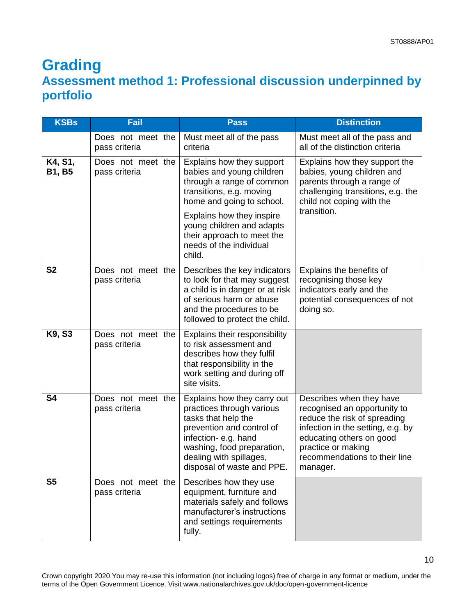### <span id="page-9-0"></span>**Grading Assessment method 1: Professional discussion underpinned by portfolio**

| <b>KSBs</b>              | Fail                               | <b>Pass</b>                                                                                                                                                                                                                | <b>Distinction</b>                                                                                                                                                                                                           |
|--------------------------|------------------------------------|----------------------------------------------------------------------------------------------------------------------------------------------------------------------------------------------------------------------------|------------------------------------------------------------------------------------------------------------------------------------------------------------------------------------------------------------------------------|
|                          | Does not meet the<br>pass criteria | Must meet all of the pass<br>criteria                                                                                                                                                                                      | Must meet all of the pass and<br>all of the distinction criteria                                                                                                                                                             |
| K4, S1,<br><b>B1, B5</b> | Does not meet the<br>pass criteria | Explains how they support<br>babies and young children<br>through a range of common<br>transitions, e.g. moving<br>home and going to school.<br>Explains how they inspire<br>young children and adapts                     | Explains how they support the<br>babies, young children and<br>parents through a range of<br>challenging transitions, e.g. the<br>child not coping with the<br>transition.                                                   |
|                          |                                    | their approach to meet the<br>needs of the individual<br>child.                                                                                                                                                            |                                                                                                                                                                                                                              |
| S <sub>2</sub>           | Does not meet the<br>pass criteria | Describes the key indicators<br>to look for that may suggest<br>a child is in danger or at risk<br>of serious harm or abuse<br>and the procedures to be<br>followed to protect the child.                                  | Explains the benefits of<br>recognising those key<br>indicators early and the<br>potential consequences of not<br>doing so.                                                                                                  |
| K9, S3                   | Does not meet the<br>pass criteria | Explains their responsibility<br>to risk assessment and<br>describes how they fulfil<br>that responsibility in the<br>work setting and during off<br>site visits.                                                          |                                                                                                                                                                                                                              |
| S <sub>4</sub>           | Does not meet the<br>pass criteria | Explains how they carry out<br>practices through various<br>tasks that help the<br>prevention and control of<br>infection-e.g. hand<br>washing, food preparation,<br>dealing with spillages,<br>disposal of waste and PPE. | Describes when they have<br>recognised an opportunity to<br>reduce the risk of spreading<br>infection in the setting, e.g. by<br>educating others on good<br>practice or making<br>recommendations to their line<br>manager. |
| S <sub>5</sub>           | Does not meet the<br>pass criteria | Describes how they use<br>equipment, furniture and<br>materials safely and follows<br>manufacturer's instructions<br>and settings requirements<br>fully.                                                                   |                                                                                                                                                                                                                              |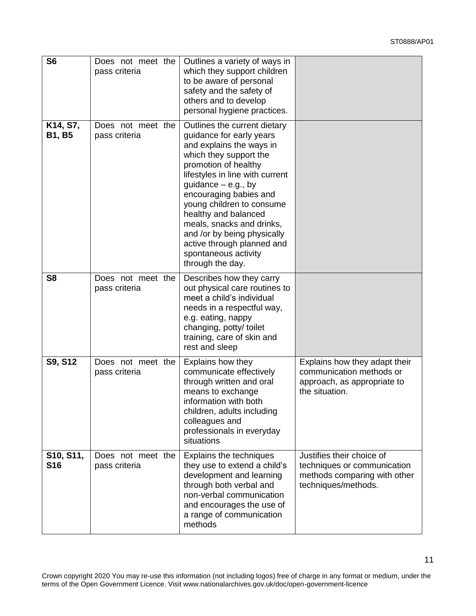| S <sub>6</sub>            | Does not meet the<br>pass criteria | Outlines a variety of ways in<br>which they support children<br>to be aware of personal<br>safety and the safety of<br>others and to develop<br>personal hygiene practices.                                                                                                                                                                                                                                             |                                                                                                                 |
|---------------------------|------------------------------------|-------------------------------------------------------------------------------------------------------------------------------------------------------------------------------------------------------------------------------------------------------------------------------------------------------------------------------------------------------------------------------------------------------------------------|-----------------------------------------------------------------------------------------------------------------|
| K14, S7,<br><b>B1, B5</b> | Does not meet the<br>pass criteria | Outlines the current dietary<br>guidance for early years<br>and explains the ways in<br>which they support the<br>promotion of healthy<br>lifestyles in line with current<br>guidance $-$ e.g., by<br>encouraging babies and<br>young children to consume<br>healthy and balanced<br>meals, snacks and drinks,<br>and /or by being physically<br>active through planned and<br>spontaneous activity<br>through the day. |                                                                                                                 |
| S <sub>8</sub>            | Does not meet the<br>pass criteria | Describes how they carry<br>out physical care routines to<br>meet a child's individual<br>needs in a respectful way,<br>e.g. eating, nappy<br>changing, potty/ toilet<br>training, care of skin and<br>rest and sleep                                                                                                                                                                                                   |                                                                                                                 |
| S9, S12                   | Does not meet the<br>pass criteria | Explains how they<br>communicate effectively<br>through written and oral<br>means to exchange<br>information with both<br>children, adults including<br>colleagues and<br>professionals in everyday<br>situations                                                                                                                                                                                                       | Explains how they adapt their<br>communication methods or<br>approach, as appropriate to<br>the situation.      |
| S10, S11,<br><b>S16</b>   | Does not meet the<br>pass criteria | Explains the techniques<br>they use to extend a child's<br>development and learning<br>through both verbal and<br>non-verbal communication<br>and encourages the use of<br>a range of communication<br>methods                                                                                                                                                                                                          | Justifies their choice of<br>techniques or communication<br>methods comparing with other<br>techniques/methods. |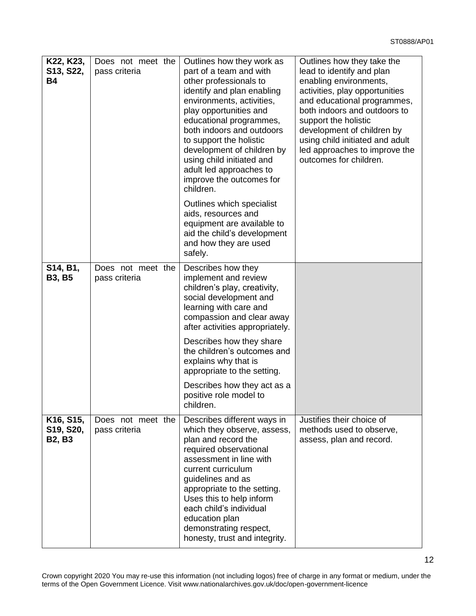| K22, K23,<br>S13, S22,<br><b>B4</b>                               | Does not meet the<br>pass criteria | Outlines how they work as<br>part of a team and with<br>other professionals to<br>identify and plan enabling<br>environments, activities,<br>play opportunities and<br>educational programmes,<br>both indoors and outdoors<br>to support the holistic<br>development of children by<br>using child initiated and<br>adult led approaches to<br>improve the outcomes for<br>children. | Outlines how they take the<br>lead to identify and plan<br>enabling environments,<br>activities, play opportunities<br>and educational programmes,<br>both indoors and outdoors to<br>support the holistic<br>development of children by<br>using child initiated and adult<br>led approaches to improve the<br>outcomes for children. |
|-------------------------------------------------------------------|------------------------------------|---------------------------------------------------------------------------------------------------------------------------------------------------------------------------------------------------------------------------------------------------------------------------------------------------------------------------------------------------------------------------------------|----------------------------------------------------------------------------------------------------------------------------------------------------------------------------------------------------------------------------------------------------------------------------------------------------------------------------------------|
|                                                                   |                                    | Outlines which specialist<br>aids, resources and<br>equipment are available to<br>aid the child's development<br>and how they are used<br>safely.                                                                                                                                                                                                                                     |                                                                                                                                                                                                                                                                                                                                        |
| S14, B1,<br><b>B3, B5</b>                                         | Does not meet the<br>pass criteria | Describes how they<br>implement and review<br>children's play, creativity,<br>social development and<br>learning with care and<br>compassion and clear away<br>after activities appropriately.                                                                                                                                                                                        |                                                                                                                                                                                                                                                                                                                                        |
|                                                                   |                                    | Describes how they share<br>the children's outcomes and<br>explains why that is<br>appropriate to the setting.                                                                                                                                                                                                                                                                        |                                                                                                                                                                                                                                                                                                                                        |
|                                                                   |                                    | Describes how they act as a<br>positive role model to<br>children.                                                                                                                                                                                                                                                                                                                    |                                                                                                                                                                                                                                                                                                                                        |
| K <sub>16</sub> , S <sub>15</sub> ,<br>S19, S20,<br><b>B2, B3</b> | Does not meet the<br>pass criteria | Describes different ways in<br>which they observe, assess,<br>plan and record the<br>required observational<br>assessment in line with<br>current curriculum<br>guidelines and as<br>appropriate to the setting.<br>Uses this to help inform<br>each child's individual<br>education plan<br>demonstrating respect,<br>honesty, trust and integrity.                                  | Justifies their choice of<br>methods used to observe,<br>assess, plan and record.                                                                                                                                                                                                                                                      |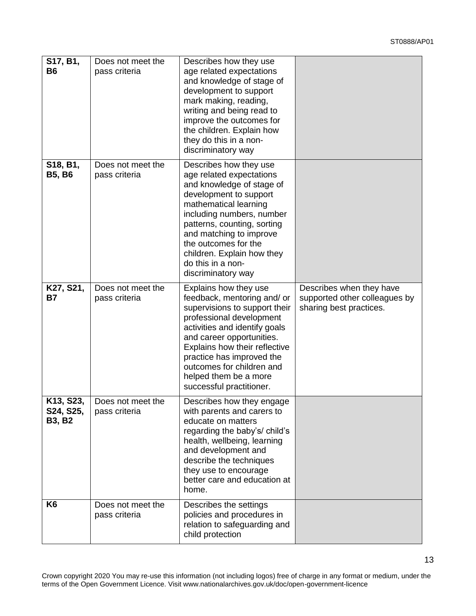13

| S17, B1,<br><b>B6</b>                   | Does not meet the<br>pass criteria | Describes how they use<br>age related expectations<br>and knowledge of stage of<br>development to support<br>mark making, reading,<br>writing and being read to<br>improve the outcomes for<br>the children. Explain how<br>they do this in a non-<br>discriminatory way                                                        |                                                                                      |
|-----------------------------------------|------------------------------------|---------------------------------------------------------------------------------------------------------------------------------------------------------------------------------------------------------------------------------------------------------------------------------------------------------------------------------|--------------------------------------------------------------------------------------|
| S18, B1,<br><b>B5, B6</b>               | Does not meet the<br>pass criteria | Describes how they use<br>age related expectations<br>and knowledge of stage of<br>development to support<br>mathematical learning<br>including numbers, number<br>patterns, counting, sorting<br>and matching to improve<br>the outcomes for the<br>children. Explain how they<br>do this in a non-<br>discriminatory way      |                                                                                      |
| K27, S21,<br>Β7                         | Does not meet the<br>pass criteria | Explains how they use<br>feedback, mentoring and/ or<br>supervisions to support their<br>professional development<br>activities and identify goals<br>and career opportunities.<br>Explains how their reflective<br>practice has improved the<br>outcomes for children and<br>helped them be a more<br>successful practitioner. | Describes when they have<br>supported other colleagues by<br>sharing best practices. |
| K13, S23,<br>S24, S25,<br><b>B3, B2</b> | Does not meet the<br>pass criteria | Describes how they engage<br>with parents and carers to<br>educate on matters<br>regarding the baby's/ child's<br>health, wellbeing, learning<br>and development and<br>describe the techniques<br>they use to encourage<br>better care and education at<br>home.                                                               |                                                                                      |
| K6                                      | Does not meet the<br>pass criteria | Describes the settings<br>policies and procedures in<br>relation to safeguarding and<br>child protection                                                                                                                                                                                                                        |                                                                                      |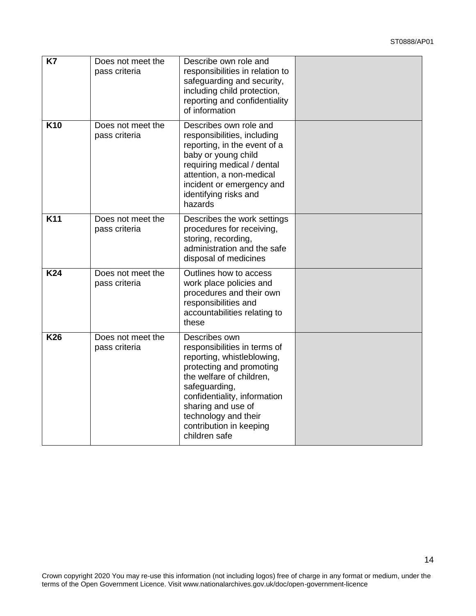14

| <b>K7</b>       | Does not meet the<br>pass criteria | Describe own role and<br>responsibilities in relation to<br>safeguarding and security,<br>including child protection,<br>reporting and confidentiality<br>of information                                                                                                       |  |
|-----------------|------------------------------------|--------------------------------------------------------------------------------------------------------------------------------------------------------------------------------------------------------------------------------------------------------------------------------|--|
| K <sub>10</sub> | Does not meet the<br>pass criteria | Describes own role and<br>responsibilities, including<br>reporting, in the event of a<br>baby or young child<br>requiring medical / dental<br>attention, a non-medical<br>incident or emergency and<br>identifying risks and<br>hazards                                        |  |
| K11             | Does not meet the<br>pass criteria | Describes the work settings<br>procedures for receiving,<br>storing, recording,<br>administration and the safe<br>disposal of medicines                                                                                                                                        |  |
| <b>K24</b>      | Does not meet the<br>pass criteria | Outlines how to access<br>work place policies and<br>procedures and their own<br>responsibilities and<br>accountabilities relating to<br>these                                                                                                                                 |  |
| <b>K26</b>      | Does not meet the<br>pass criteria | Describes own<br>responsibilities in terms of<br>reporting, whistleblowing,<br>protecting and promoting<br>the welfare of children,<br>safeguarding,<br>confidentiality, information<br>sharing and use of<br>technology and their<br>contribution in keeping<br>children safe |  |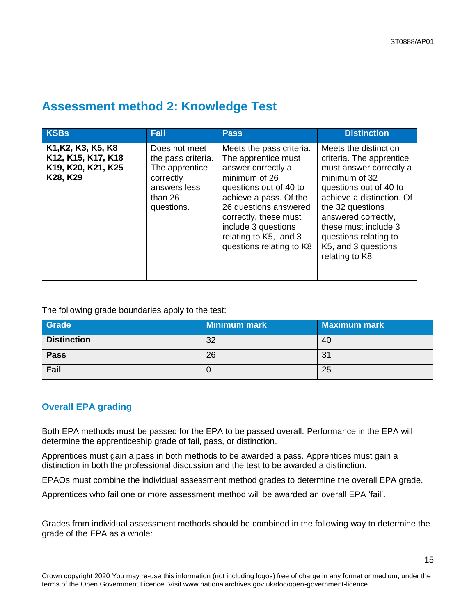### **Assessment method 2: Knowledge Test**

| <b>KSBs</b>                                                                | Fail                                                                                                        | Pass                                                                                                                                                                                                                                                                     | <b>Distinction</b>                                                                                                                                                                                                                                                                        |
|----------------------------------------------------------------------------|-------------------------------------------------------------------------------------------------------------|--------------------------------------------------------------------------------------------------------------------------------------------------------------------------------------------------------------------------------------------------------------------------|-------------------------------------------------------------------------------------------------------------------------------------------------------------------------------------------------------------------------------------------------------------------------------------------|
| K1, K2, K3, K5, K8<br>K12, K15, K17, K18<br>K19, K20, K21, K25<br>K28, K29 | Does not meet<br>the pass criteria.<br>The apprentice<br>correctly<br>answers less<br>than 26<br>questions. | Meets the pass criteria.<br>The apprentice must<br>answer correctly a<br>minimum of 26<br>questions out of 40 to<br>achieve a pass. Of the<br>26 questions answered<br>correctly, these must<br>include 3 questions<br>relating to K5, and 3<br>questions relating to K8 | Meets the distinction<br>criteria. The apprentice<br>must answer correctly a<br>minimum of 32<br>questions out of 40 to<br>achieve a distinction. Of<br>the 32 questions<br>answered correctly,<br>these must include 3<br>questions relating to<br>K5, and 3 questions<br>relating to K8 |

The following grade boundaries apply to the test:

| Grade              | Minimum mark | <b>Maximum mark</b> |
|--------------------|--------------|---------------------|
| <b>Distinction</b> | 32           | 40                  |
| <b>Pass</b>        | 26           | 31                  |
| Fail               |              | 25                  |

#### **Overall EPA grading**

Both EPA methods must be passed for the EPA to be passed overall. Performance in the EPA will determine the apprenticeship grade of fail, pass, or distinction.

Apprentices must gain a pass in both methods to be awarded a pass. Apprentices must gain a distinction in both the professional discussion and the test to be awarded a distinction.

EPAOs must combine the individual assessment method grades to determine the overall EPA grade.

Apprentices who fail one or more assessment method will be awarded an overall EPA 'fail'.

Grades from individual assessment methods should be combined in the following way to determine the grade of the EPA as a whole: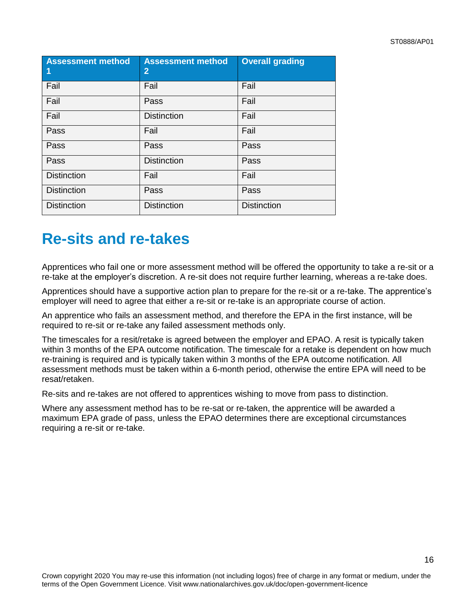| <b>Assessment method</b><br>$\vert$ 1 | <b>Assessment method</b><br>$\overline{2}$ | <b>Overall grading</b> |
|---------------------------------------|--------------------------------------------|------------------------|
| Fail                                  | Fail                                       | Fail                   |
| Fail                                  | Pass                                       | Fail                   |
| Fail                                  | <b>Distinction</b>                         | Fail                   |
| Pass                                  | Fail                                       | Fail                   |
| Pass                                  | Pass                                       | Pass                   |
| Pass                                  | <b>Distinction</b>                         | Pass                   |
| <b>Distinction</b>                    | Fail                                       | Fail                   |
| <b>Distinction</b>                    | Pass                                       | Pass                   |
| <b>Distinction</b>                    | <b>Distinction</b>                         | <b>Distinction</b>     |

## <span id="page-15-0"></span>**Re-sits and re-takes**

Apprentices who fail one or more assessment method will be offered the opportunity to take a re-sit or a re-take at the employer's discretion. A re-sit does not require further learning, whereas a re-take does.

Apprentices should have a supportive action plan to prepare for the re-sit or a re-take. The apprentice's employer will need to agree that either a re-sit or re-take is an appropriate course of action.

An apprentice who fails an assessment method, and therefore the EPA in the first instance, will be required to re-sit or re-take any failed assessment methods only.

The timescales for a resit/retake is agreed between the employer and EPAO. A resit is typically taken within 3 months of the EPA outcome notification. The timescale for a retake is dependent on how much re-training is required and is typically taken within 3 months of the EPA outcome notification. All assessment methods must be taken within a 6-month period, otherwise the entire EPA will need to be resat/retaken.

Re-sits and re-takes are not offered to apprentices wishing to move from pass to distinction.

Where any assessment method has to be re-sat or re-taken, the apprentice will be awarded a maximum EPA grade of pass, unless the EPAO determines there are exceptional circumstances requiring a re-sit or re-take.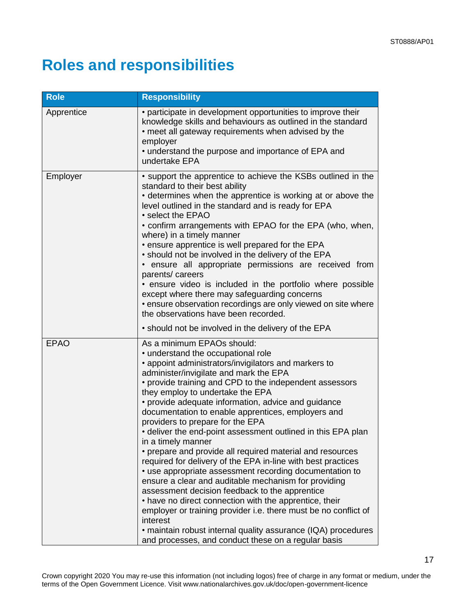# <span id="page-16-0"></span>**Roles and responsibilities**

| <b>Role</b> | <b>Responsibility</b>                                                                                                                                                                                                                                                                                                                                                                                                                                                                                                                                                                                                                                                                                                                                                                                                                                                                                                                                                                                                                                                       |
|-------------|-----------------------------------------------------------------------------------------------------------------------------------------------------------------------------------------------------------------------------------------------------------------------------------------------------------------------------------------------------------------------------------------------------------------------------------------------------------------------------------------------------------------------------------------------------------------------------------------------------------------------------------------------------------------------------------------------------------------------------------------------------------------------------------------------------------------------------------------------------------------------------------------------------------------------------------------------------------------------------------------------------------------------------------------------------------------------------|
| Apprentice  | • participate in development opportunities to improve their<br>knowledge skills and behaviours as outlined in the standard<br>• meet all gateway requirements when advised by the<br>employer<br>• understand the purpose and importance of EPA and<br>undertake EPA                                                                                                                                                                                                                                                                                                                                                                                                                                                                                                                                                                                                                                                                                                                                                                                                        |
| Employer    | • support the apprentice to achieve the KSBs outlined in the<br>standard to their best ability<br>• determines when the apprentice is working at or above the<br>level outlined in the standard and is ready for EPA<br>• select the EPAO<br>• confirm arrangements with EPAO for the EPA (who, when,<br>where) in a timely manner<br>• ensure apprentice is well prepared for the EPA<br>• should not be involved in the delivery of the EPA<br>ensure all appropriate permissions are received from<br>parents/careers<br>• ensure video is included in the portfolio where possible<br>except where there may safeguarding concerns<br>• ensure observation recordings are only viewed on site where<br>the observations have been recorded.                                                                                                                                                                                                                                                                                                                             |
|             | • should not be involved in the delivery of the EPA                                                                                                                                                                                                                                                                                                                                                                                                                                                                                                                                                                                                                                                                                                                                                                                                                                                                                                                                                                                                                         |
| <b>EPAO</b> | As a minimum EPAOs should:<br>• understand the occupational role<br>• appoint administrators/invigilators and markers to<br>administer/invigilate and mark the EPA<br>• provide training and CPD to the independent assessors<br>they employ to undertake the EPA<br>• provide adequate information, advice and guidance<br>documentation to enable apprentices, employers and<br>providers to prepare for the EPA<br>• deliver the end-point assessment outlined in this EPA plan<br>in a timely manner<br>• prepare and provide all required material and resources<br>required for delivery of the EPA in-line with best practices<br>• use appropriate assessment recording documentation to<br>ensure a clear and auditable mechanism for providing<br>assessment decision feedback to the apprentice<br>• have no direct connection with the apprentice, their<br>employer or training provider i.e. there must be no conflict of<br>interest<br>• maintain robust internal quality assurance (IQA) procedures<br>and processes, and conduct these on a regular basis |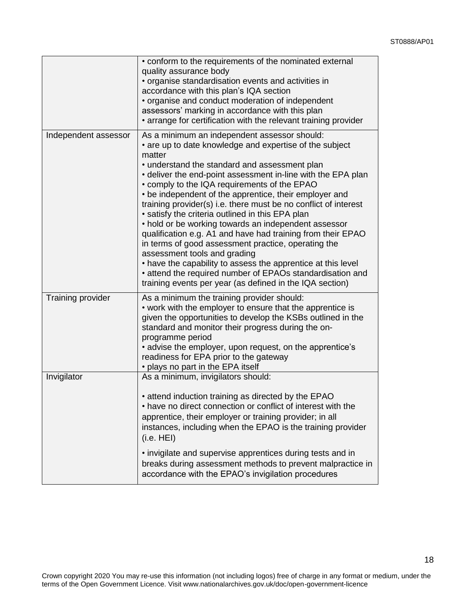|                      | • conform to the requirements of the nominated external<br>quality assurance body<br>• organise standardisation events and activities in<br>accordance with this plan's IQA section<br>• organise and conduct moderation of independent<br>assessors' marking in accordance with this plan<br>• arrange for certification with the relevant training provider                                                                                                                                                                                                                                                                                                                                                                                                                                                                                                              |
|----------------------|----------------------------------------------------------------------------------------------------------------------------------------------------------------------------------------------------------------------------------------------------------------------------------------------------------------------------------------------------------------------------------------------------------------------------------------------------------------------------------------------------------------------------------------------------------------------------------------------------------------------------------------------------------------------------------------------------------------------------------------------------------------------------------------------------------------------------------------------------------------------------|
| Independent assessor | As a minimum an independent assessor should:<br>• are up to date knowledge and expertise of the subject<br>matter<br>• understand the standard and assessment plan<br>• deliver the end-point assessment in-line with the EPA plan<br>• comply to the IQA requirements of the EPAO<br>• be independent of the apprentice, their employer and<br>training provider(s) i.e. there must be no conflict of interest<br>• satisfy the criteria outlined in this EPA plan<br>• hold or be working towards an independent assessor<br>qualification e.g. A1 and have had training from their EPAO<br>in terms of good assessment practice, operating the<br>assessment tools and grading<br>• have the capability to assess the apprentice at this level<br>• attend the required number of EPAOs standardisation and<br>training events per year (as defined in the IQA section) |
| Training provider    | As a minimum the training provider should:<br>• work with the employer to ensure that the apprentice is<br>given the opportunities to develop the KSBs outlined in the<br>standard and monitor their progress during the on-<br>programme period<br>• advise the employer, upon request, on the apprentice's<br>readiness for EPA prior to the gateway<br>• plays no part in the EPA itself                                                                                                                                                                                                                                                                                                                                                                                                                                                                                |
| Invigilator          | As a minimum, invigilators should:<br>• attend induction training as directed by the EPAO<br>• have no direct connection or conflict of interest with the<br>apprentice, their employer or training provider; in all<br>instances, including when the EPAO is the training provider<br>(i.e. HEI)<br>• invigilate and supervise apprentices during tests and in<br>breaks during assessment methods to prevent malpractice in<br>accordance with the EPAO's invigilation procedures                                                                                                                                                                                                                                                                                                                                                                                        |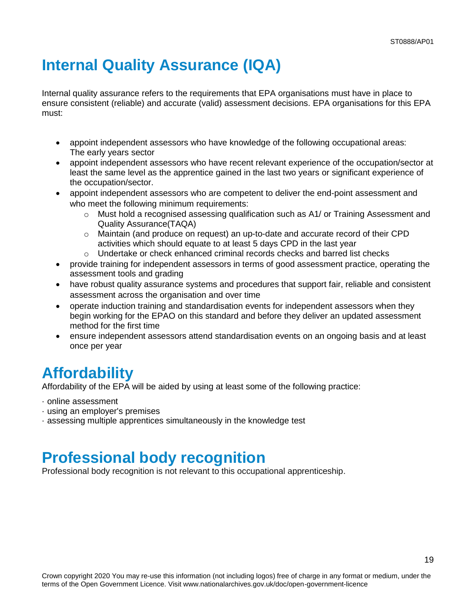# <span id="page-18-0"></span>**Internal Quality Assurance (IQA)**

Internal quality assurance refers to the requirements that EPA organisations must have in place to ensure consistent (reliable) and accurate (valid) assessment decisions. EPA organisations for this EPA must:

- appoint independent assessors who have knowledge of the following occupational areas: The early years sector
- appoint independent assessors who have recent relevant experience of the occupation/sector at least the same level as the apprentice gained in the last two years or significant experience of the occupation/sector.
- appoint independent assessors who are competent to deliver the end-point assessment and who meet the following minimum requirements:
	- o Must hold a recognised assessing qualification such as A1/ or Training Assessment and Quality Assurance(TAQA)
	- $\circ$  Maintain (and produce on request) an up-to-date and accurate record of their CPD activities which should equate to at least 5 days CPD in the last year
	- o Undertake or check enhanced criminal records checks and barred list checks
- provide training for independent assessors in terms of good assessment practice, operating the assessment tools and grading
- have robust quality assurance systems and procedures that support fair, reliable and consistent assessment across the organisation and over time
- operate induction training and standardisation events for independent assessors when they begin working for the EPAO on this standard and before they deliver an updated assessment method for the first time
- ensure independent assessors attend standardisation events on an ongoing basis and at least once per year

# <span id="page-18-1"></span>**Affordability**

Affordability of the EPA will be aided by using at least some of the following practice:

- · online assessment
- · using an employer's premises
- <span id="page-18-2"></span>· assessing multiple apprentices simultaneously in the knowledge test

## **Professional body recognition**

Professional body recognition is not relevant to this occupational apprenticeship.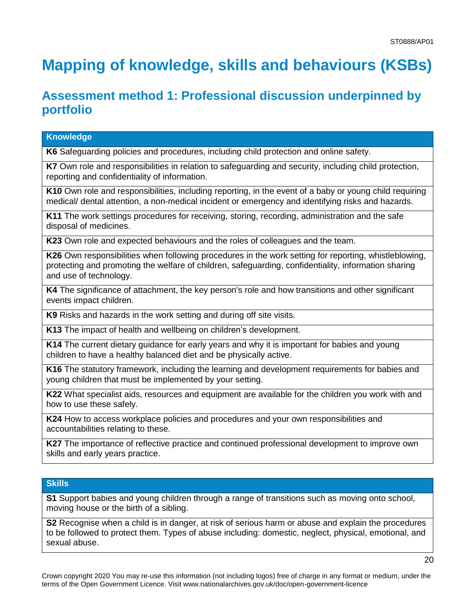# <span id="page-19-0"></span>**Mapping of knowledge, skills and behaviours (KSBs)**

### **Assessment method 1: Professional discussion underpinned by portfolio**

| K6 Safeguarding policies and procedures, including child protection and online safety.                                                                                                                                                  |
|-----------------------------------------------------------------------------------------------------------------------------------------------------------------------------------------------------------------------------------------|
| K7 Own role and responsibilities in relation to safeguarding and security, including child protection,<br>reporting and confidentiality of information.                                                                                 |
| K10 Own role and responsibilities, including reporting, in the event of a baby or young child requiring<br>medical/ dental attention, a non-medical incident or emergency and identifying risks and hazards.                            |
| K11 The work settings procedures for receiving, storing, recording, administration and the safe<br>disposal of medicines.                                                                                                               |
| K23 Own role and expected behaviours and the roles of colleagues and the team.                                                                                                                                                          |
| K26 Own responsibilities when following procedures in the work setting for reporting, whistleblowing,<br>protecting and promoting the welfare of children, safeguarding, confidentiality, information sharing<br>and use of technology. |
| K4 The significance of attachment, the key person's role and how transitions and other significant<br>events impact children.                                                                                                           |
| K9 Risks and hazards in the work setting and during off site visits.                                                                                                                                                                    |
| K13 The impact of health and wellbeing on children's development.                                                                                                                                                                       |
| K14 The current dietary guidance for early years and why it is important for babies and young<br>children to have a healthy balanced diet and be physically active.                                                                     |
| K16 The statutory framework, including the learning and development requirements for babies and<br>young children that must be implemented by your setting.                                                                             |

**K22** What specialist aids, resources and equipment are available for the children you work with and how to use these safely.

**K24** How to access workplace policies and procedures and your own responsibilities and accountabilities relating to these.

**K27** The importance of reflective practice and continued professional development to improve own skills and early years practice.

#### **Skills**

**Knowledge**

**S1** Support babies and young children through a range of transitions such as moving onto school, moving house or the birth of a sibling.

**S2** Recognise when a child is in danger, at risk of serious harm or abuse and explain the procedures to be followed to protect them. Types of abuse including: domestic, neglect, physical, emotional, and sexual abuse.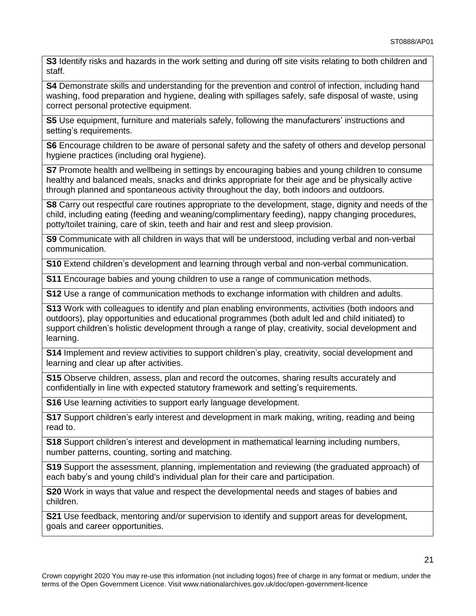**S3** Identify risks and hazards in the work setting and during off site visits relating to both children and staff.

**S4** Demonstrate skills and understanding for the prevention and control of infection, including hand washing, food preparation and hygiene, dealing with spillages safely, safe disposal of waste, using correct personal protective equipment.

**S5** Use equipment, furniture and materials safely, following the manufacturers' instructions and setting's requirements.

**S6** Encourage children to be aware of personal safety and the safety of others and develop personal hygiene practices (including oral hygiene).

**S7** Promote health and wellbeing in settings by encouraging babies and young children to consume healthy and balanced meals, snacks and drinks appropriate for their age and be physically active through planned and spontaneous activity throughout the day, both indoors and outdoors.

**S8** Carry out respectful care routines appropriate to the development, stage, dignity and needs of the child, including eating (feeding and weaning/complimentary feeding), nappy changing procedures, potty/toilet training, care of skin, teeth and hair and rest and sleep provision.

**S9** Communicate with all children in ways that will be understood, including verbal and non-verbal communication.

**S10** Extend children's development and learning through verbal and non-verbal communication.

**S11** Encourage babies and young children to use a range of communication methods.

**S12** Use a range of communication methods to exchange information with children and adults.

**S13** Work with colleagues to identify and plan enabling environments, activities (both indoors and outdoors), play opportunities and educational programmes (both adult led and child initiated) to support children's holistic development through a range of play, creativity, social development and learning.

**S14** Implement and review activities to support children's play, creativity, social development and learning and clear up after activities.

**S15** Observe children, assess, plan and record the outcomes, sharing results accurately and confidentially in line with expected statutory framework and setting's requirements.

**S16** Use learning activities to support early language development.

**S17** Support children's early interest and development in mark making, writing, reading and being read to.

**S18** Support children's interest and development in mathematical learning including numbers, number patterns, counting, sorting and matching.

**S19** Support the assessment, planning, implementation and reviewing (the graduated approach) of each baby's and young child's individual plan for their care and participation.

**S20** Work in ways that value and respect the developmental needs and stages of babies and children.

**S21** Use feedback, mentoring and/or supervision to identify and support areas for development, goals and career opportunities.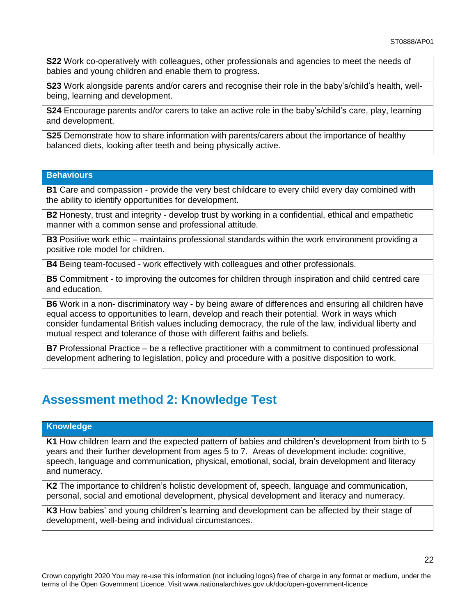**S22** Work co-operatively with colleagues, other professionals and agencies to meet the needs of babies and young children and enable them to progress.

**S23** Work alongside parents and/or carers and recognise their role in the baby's/child's health, wellbeing, learning and development.

**S24** Encourage parents and/or carers to take an active role in the baby's/child's care, play, learning and development.

**S25** Demonstrate how to share information with parents/carers about the importance of healthy balanced diets, looking after teeth and being physically active.

#### **Behaviours**

**B1** Care and compassion - provide the very best childcare to every child every day combined with the ability to identify opportunities for development.

**B2** Honesty, trust and integrity - develop trust by working in a confidential, ethical and empathetic manner with a common sense and professional attitude.

**B3** Positive work ethic – maintains professional standards within the work environment providing a positive role model for children.

**B4** Being team-focused - work effectively with colleagues and other professionals.

**B5** Commitment - to improving the outcomes for children through inspiration and child centred care and education.

**B6** Work in a non- discriminatory way - by being aware of differences and ensuring all children have equal access to opportunities to learn, develop and reach their potential. Work in ways which consider fundamental British values including democracy, the rule of the law, individual liberty and mutual respect and tolerance of those with different faiths and beliefs.

**B7** Professional Practice – be a reflective practitioner with a commitment to continued professional development adhering to legislation, policy and procedure with a positive disposition to work.

### **Assessment method 2: Knowledge Test**

#### **Knowledge**

**K1** How children learn and the expected pattern of babies and children's development from birth to 5 years and their further development from ages 5 to 7. Areas of development include: cognitive, speech, language and communication, physical, emotional, social, brain development and literacy and numeracy.

**K2** The importance to children's holistic development of, speech, language and communication, personal, social and emotional development, physical development and literacy and numeracy.

**K3** How babies' and young children's learning and development can be affected by their stage of development, well-being and individual circumstances.